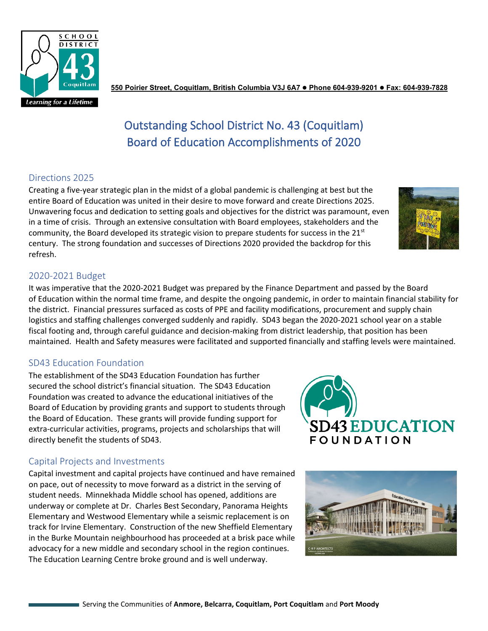

**550 Poirier Street, Coquitlam, British Columbia V3J 6A7 Phone 604-939-9201 Fax: 604-939-7828**

# Outstanding School District No. 43 (Coquitlam) Board of Education Accomplishments of 2020

## Directions 2025

Creating a five-year strategic plan in the midst of a global pandemic is challenging at best but the entire Board of Education was united in their desire to move forward and create Directions 2025. Unwavering focus and dedication to setting goals and objectives for the district was paramount, even in a time of crisis. Through an extensive consultation with Board employees, stakeholders and the community, the Board developed its strategic vision to prepare students for success in the  $21<sup>st</sup>$ century. The strong foundation and successes of Directions 2020 provided the backdrop for this refresh.

## 2020-2021 Budget

It was imperative that the 2020-2021 Budget was prepared by the Finance Department and passed by the Board of Education within the normal time frame, and despite the ongoing pandemic, in order to maintain financial stability for the district. Financial pressures surfaced as costs of PPE and facility modifications, procurement and supply chain logistics and staffing challenges converged suddenly and rapidly. SD43 began the 2020-2021 school year on a stable fiscal footing and, through careful guidance and decision-making from district leadership, that position has been maintained. Health and Safety measures were facilitated and supported financially and staffing levels were maintained.

#### SD43 Education Foundation

The establishment of the SD43 Education Foundation has further secured the school district's financial situation. The SD43 Education Foundation was created to advance the educational initiatives of the Board of Education by providing grants and support to students through the Board of Education. These grants will provide funding support for extra-curricular activities, programs, projects and scholarships that will directly benefit the students of SD43.

#### Capital Projects and Investments

Capital investment and capital projects have continued and have remained on pace, out of necessity to move forward as a district in the serving of student needs. Minnekhada Middle school has opened, additions are underway or complete at Dr. Charles Best Secondary, Panorama Heights Elementary and Westwood Elementary while a seismic replacement is on track for Irvine Elementary. Construction of the new Sheffield Elementary in the Burke Mountain neighbourhood has proceeded at a brisk pace while advocacy for a new middle and secondary school in the region continues. The Education Learning Centre broke ground and is well underway.